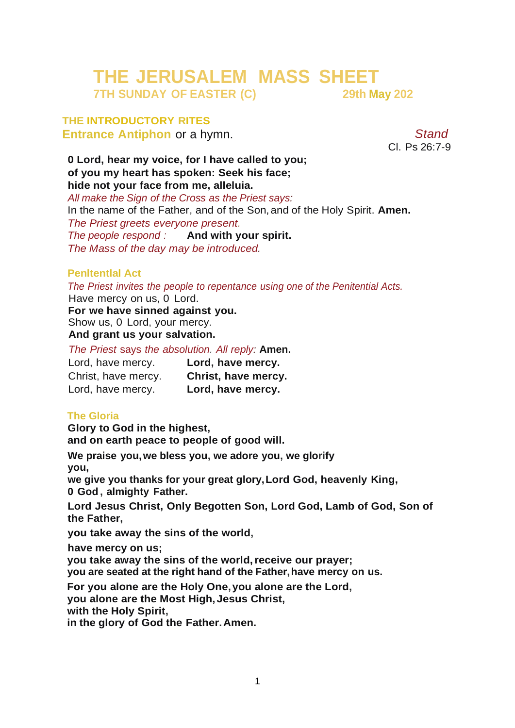# **THE JERUSALEM MASS SHEET 7TH SUNDAY OF EASTER (C) 29th May 202**

# **THE INTRODUCTORY RITES**

**Entrance Antiphon** or a hymn. *Stand*

Cl. Ps 26:7-9

**0 Lord, hear my voice, for I have called to you; of you my heart has spoken: Seek his face; hide not your face from me, alleluia.** *All make the Sign of the Cross as the Priest says:* In the name of the Father, and of the Son,and of the Holy Spirit. **Amen.** *The Priest greets everyone present. The people respond :* **And with your spirit.** *The Mass of the day may be introduced.*

# **Penltentlal Act**

*The Priest invites the people to repentance using one of the Penitential Acts.* Have mercy on us, 0 Lord. **For we have sinned against you.** Show us, 0 Lord, your mercy. **And grant us your salvation.**

*The Priest* says *the absolution. All reply:* **Amen.**

| Lord, have mercy.   | Lord, have mercy.   |
|---------------------|---------------------|
| Christ, have mercy. | Christ, have mercy. |
| Lord, have mercy.   | Lord, have mercy.   |

# **The Gloria**

**Glory to God in the highest,**

**and on earth peace to people of good will.**

**We praise you,we bless you, we adore you, we glorify you,**

**we give you thanks for your great glory,Lord God, heavenly King, 0 God , almighty Father.**

**Lord Jesus Christ, Only Begotten Son, Lord God, Lamb of God, Son of the Father,**

**you take away the sins of the world,**

**have mercy on us;**

**you take away the sins of the world,receive our prayer;**

**you are seated at the right hand of the Father,have mercy on us.**

**For you alone are the Holy One,you alone are the Lord,**

**you alone are the Most High, Jesus Christ,**

**with the Holy Spirit,**

**in the glory of God the Father.Amen.**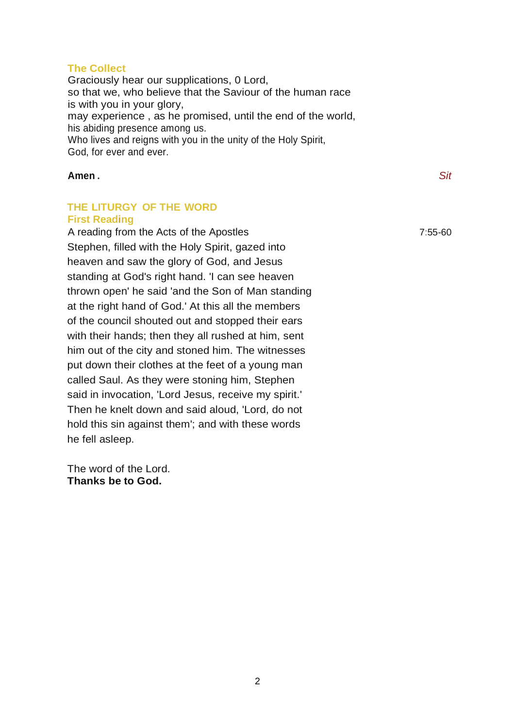# **The Collect**

Graciously hear our supplications, 0 Lord, so that we, who believe that the Saviour of the human race is with you in your glory, may experience , as he promised, until the end of the world, his abiding presence among us. Who lives and reigns with you in the unity of the Holy Spirit, God, for ever and ever.

**Amen .** *Sit*

#### **THE LITURGY OF THE WORD First Reading**

A reading from the Acts of the Apostles 7:55-60 Stephen, filled with the Holy Spirit, gazed into heaven and saw the glory of God, and Jesus standing at God's right hand. 'I can see heaven thrown open' he said 'and the Son of Man standing at the right hand of God.' At this all the members of the council shouted out and stopped their ears with their hands; then they all rushed at him, sent him out of the city and stoned him. The witnesses put down their clothes at the feet of a young man called Saul. As they were stoning him, Stephen said in invocation, 'Lord Jesus, receive my spirit.' Then he knelt down and said aloud, 'Lord, do not hold this sin against them'; and with these words he fell asleep.

The word of the Lord. **Thanks be to God.**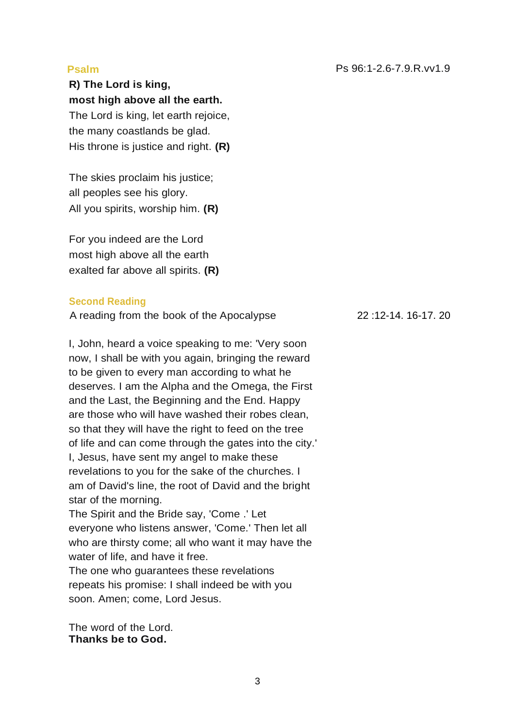#### **Psalm** Ps 96:1-2.6-7.9.R.vv1.9

**R) The Lord is king, most high above all the earth.** The Lord is king, let earth rejoice, the many coastlands be glad. His throne is justice and right. **(R)**

The skies proclaim his justice; all peoples see his glory. All you spirits, worship him. **(R)**

For you indeed are the Lord most high above all the earth exalted far above all spirits. **(R)**

#### **Second Reading**

A reading from the book of the Apocalypse 22 :12-14. 16-17. 20

I, John, heard a voice speaking to me: 'Very soon now, I shall be with you again, bringing the reward to be given to every man according to what he deserves. I am the Alpha and the Omega, the First and the Last, the Beginning and the End. Happy are those who will have washed their robes clean, so that they will have the right to feed on the tree of life and can come through the gates into the city.' I, Jesus, have sent my angel to make these revelations to you for the sake of the churches. I am of David's line, the root of David and the bright star of the morning.

The Spirit and the Bride say, 'Come .' Let everyone who listens answer, 'Come.' Then let all who are thirsty come; all who want it may have the water of life, and have it free.

The one who guarantees these revelations repeats his promise: I shall indeed be with you soon. Amen; come, Lord Jesus.

The word of the Lord. **Thanks be to God.**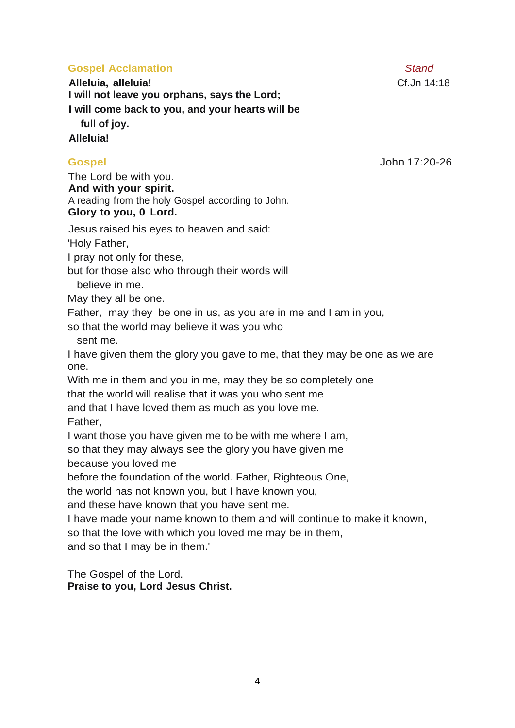# **Gospel Acclamation** *Stand*

**Alleluia, alleluia!** Cf.Jn 14:18 **I will not leave you orphans, says the Lord; I will come back to you, and your hearts will be** 

 **full of joy. Alleluia!**

The Lord be with you. **And with your spirit.** A reading from the holy Gospel according to John. **Glory to you, 0 Lord.**

Jesus raised his eyes to heaven and said:

'Holy Father,

I pray not only for these,

but for those also who through their words will

believe in me.

May they all be one.

Father, may they be one in us, as you are in me and I am in you,

so that the world may believe it was you who

sent me.

I have given them the glory you gave to me, that they may be one as we are one.

With me in them and you in me, may they be so completely one

that the world will realise that it was you who sent me

and that I have loved them as much as you love me.

Father,

I want those you have given me to be with me where I am,

so that they may always see the glory you have given me

because you loved me

before the foundation of the world. Father, Righteous One,

the world has not known you, but I have known you,

and these have known that you have sent me.

I have made your name known to them and will continue to make it known, so that the love with which you loved me may be in them,

and so that I may be in them.'

The Gospel of the Lord. **Praise to you, Lord Jesus Christ.**

**Gospel** John 17:20-26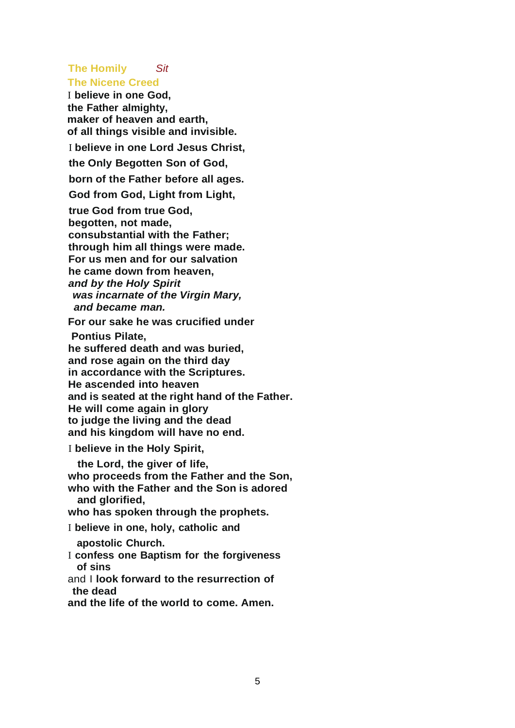#### **The Homily** *Sit* **The Nicene Creed**

I **believe in one God, the Father almighty, maker of heaven and earth, of all things visible and invisible.**

I **believe in one Lord Jesus Christ,**

**the Only Begotten Son of God,**

**born of the Father before all ages.**

**God from God, Light from Light,**

**true God from true God, begotten, not made, consubstantial with the Father; through him all things were made. For us men and for our salvation he came down from heaven,** *and by the Holy Spirit was incarnate of the Virgin Mary, and became man.*

**For our sake he was crucified under**

 **Pontius Pilate,**

**he suffered death and was buried, and rose again on the third day in accordance with the Scriptures. He ascended into heaven and is seated at the right hand of the Father. He will come again in glory to judge the living and the dead and his kingdom will have no end.**

I **believe in the Holy Spirit,**

 **the Lord, the giver of life, who proceeds from the Father and the Son, who with the Father and the Son is adored and glorified, who has spoken through the prophets.** I **believe in one, holy, catholic and apostolic Church.** I **confess one Baptism for the forgiveness of sins** and I **look forward to the resurrection of the dead**

**and the life of the world to come. Amen.**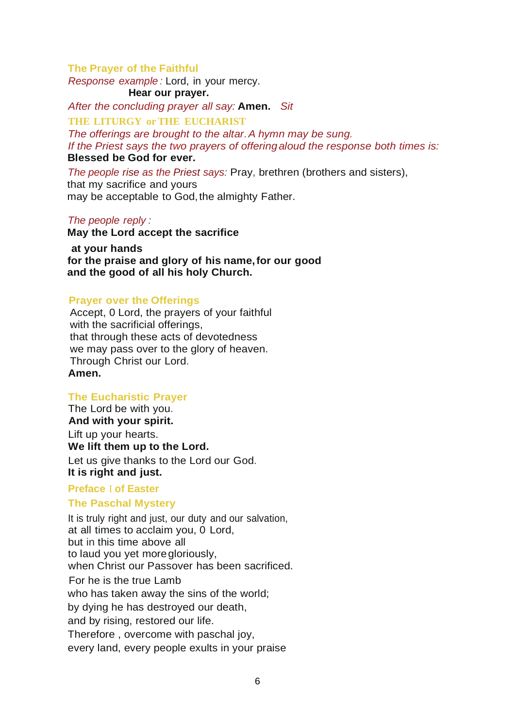#### **The Prayer of the Faithful**

*Response example :* Lord, in your mercy. **Hear our prayer.**

*After the concluding prayer all say:* **Amen.** *Sit*

**THE LITURGY or THE EUCHARIST**

*The offerings are brought to the altar.A hymn may be sung. If the Priest says the two prayers of offeringaloud the response both times is:* **Blessed be God for ever.**

*The people rise as the Priest says:* Pray, brethren (brothers and sisters), that my sacrifice and yours may be acceptable to God, the almighty Father.

#### *The people reply :*

**May the Lord accept the sacrifice**

**at your hands for the praise and glory of his name,for our good and the good of all his holy Church.**

#### **Prayer over the Offerings**

Accept, 0 Lord, the prayers of your faithful with the sacrificial offerings, that through these acts of devotedness we may pass over to the glory of heaven. Through Christ our Lord. **Amen.**

#### **The Eucharistic Prayer**

The Lord be with you. **And with your spirit.** Lift up your hearts. **We lift them up to the Lord.** Let us give thanks to the Lord our God. **It is right and just.**

#### **Preface** I **of Easter**

#### **The Paschal Mystery**

It is truly right and just, our duty and our salvation, at all times to acclaim you, 0 Lord, but in this time above all to laud you yet moregloriously, when Christ our Passover has been sacrificed. For he is the true Lamb who has taken away the sins of the world; by dying he has destroyed our death, and by rising, restored our life. Therefore , overcome with paschal joy, every land, every people exults in your praise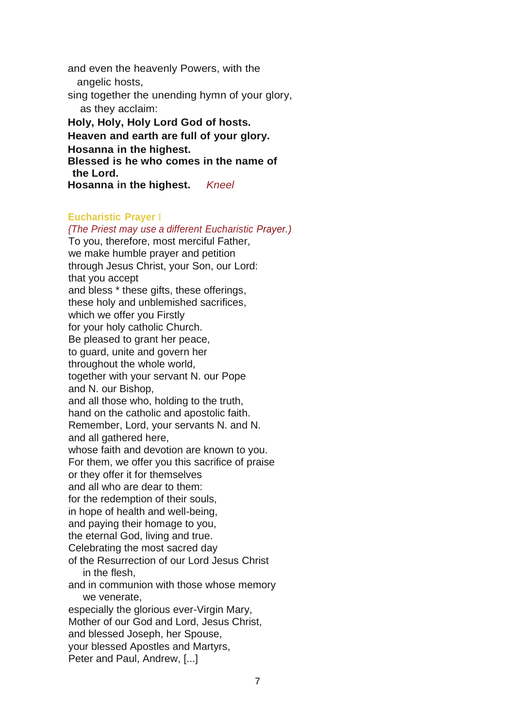and even the heavenly Powers, with the angelic hosts,

sing together the unending hymn of your glory, as they acclaim:

**Holy, Holy, Holy Lord God of hosts. Heaven and earth are full of your glory. Hosanna in the highest. Blessed is he who comes in the name of the Lord. Hosanna in the highest.** *Kneel*

### **Eucharistic Prayer** I

*{The Priest may use a different Eucharistic Prayer.)* To you, therefore, most merciful Father, we make humble prayer and petition through Jesus Christ, your Son, our Lord: that you accept and bless \* these gifts, these offerings, these holy and unblemished sacrifices, which we offer you Firstly for your holy catholic Church. Be pleased to grant her peace, to guard, unite and govern her throughout the whole world, together with your servant N. our Pope and N. our Bishop, and all those who, holding to the truth, hand on the catholic and apostolic faith. Remember, Lord, your servants N. and N. and all gathered here, whose faith and devotion are known to you. For them, we offer you this sacrifice of praise or they offer it for themselves and all who are dear to them: for the redemption of their souls, in hope of health and well-being, and paying their homage to you, the eternal God, living and true. Celebrating the most sacred day of the Resurrection of our Lord Jesus Christ in the flesh, and in communion with those whose memory we venerate, especially the glorious ever-Virgin Mary, Mother of our God and Lord, Jesus Christ, and blessed Joseph, her Spouse, your blessed Apostles and Martyrs, Peter and Paul, Andrew, [...]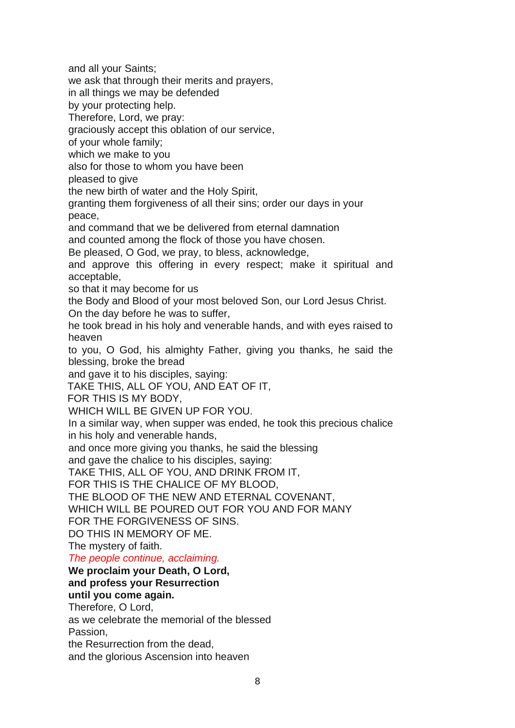and all your Saints;

we ask that through their merits and prayers,

in all things we may be defended

by your protecting help.

Therefore, Lord, we pray:

graciously accept this oblation of our service,

of your whole family;

which we make to you

also for those to whom you have been

pleased to give

the new birth of water and the Holy Spirit,

granting them forgiveness of all their sins; order our days in your peace,

and command that we be delivered from eternal damnation

and counted among the flock of those you have chosen.

Be pleased, O God, we pray, to bless, acknowledge,

and approve this offering in every respect; make it spiritual and acceptable,

so that it may become for us

the Body and Blood of your most beloved Son, our Lord Jesus Christ. On the day before he was to suffer,

he took bread in his holy and venerable hands, and with eyes raised to heaven

to you, O God, his almighty Father, giving you thanks, he said the blessing, broke the bread

and gave it to his disciples, saying:

TAKE THIS, ALL OF YOU, AND EAT OF IT,

FOR THIS IS MY BODY,

WHICH WILL BE GIVEN UP FOR YOU.

In a similar way, when supper was ended, he took this precious chalice in his holy and venerable hands,

and once more giving you thanks, he said the blessing

and gave the chalice to his disciples, saying:

TAKE THIS, ALL OF YOU, AND DRINK FROM IT,

FOR THIS IS THE CHALICE OF MY BLOOD,

THE BLOOD OF THE NEW AND ETERNAL COVENANT,

WHICH WILL BE POURED OUT FOR YOU AND FOR MANY

FOR THE FORGIVENESS OF SINS.

DO THIS IN MEMORY OF ME.

The mystery of faith.

*The people continue, acclaiming.*

**We proclaim your Death, O Lord,** 

# **and profess your Resurrection**

# **until you come again.**

Therefore, O Lord,

as we celebrate the memorial of the blessed

Passion,

the Resurrection from the dead,

and the glorious Ascension into heaven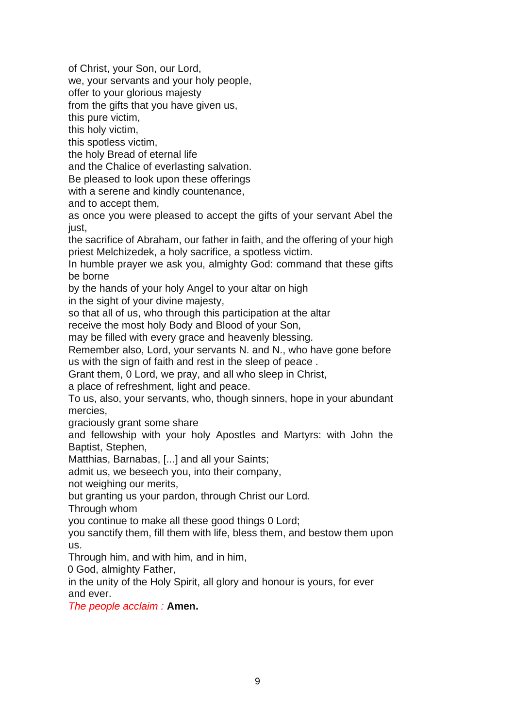of Christ, your Son, our Lord,

we, your servants and your holy people,

offer to your glorious majesty

from the gifts that you have given us,

this pure victim,

this holy victim,

this spotless victim,

the holy Bread of eternal life

and the Chalice of everlasting salvation.

Be pleased to look upon these offerings

with a serene and kindly countenance,

and to accept them,

as once you were pleased to accept the gifts of your servant Abel the just.

the sacrifice of Abraham, our father in faith, and the offering of your high priest Melchizedek, a holy sacrifice, a spotless victim.

In humble prayer we ask you, almighty God: command that these gifts be borne

by the hands of your holy Angel to your altar on high

in the sight of your divine majesty,

so that all of us, who through this participation at the altar

receive the most holy Body and Blood of your Son,

may be filled with every grace and heavenly blessing.

Remember also, Lord, your servants N. and N., who have gone before us with the sign of faith and rest in the sleep of peace .

Grant them, 0 Lord, we pray, and all who sleep in Christ,

a place of refreshment, light and peace.

To us, also, your servants, who, though sinners, hope in your abundant mercies,

graciously grant some share

and fellowship with your holy Apostles and Martyrs: with John the Baptist, Stephen,

Matthias, Barnabas, [...] and all your Saints;

admit us, we beseech you, into their company,

not weighing our merits,

but granting us your pardon, through Christ our Lord.

Through whom

you continue to make all these good things 0 Lord;

you sanctify them, fill them with life, bless them, and bestow them upon us.

Through him, and with him, and in him,

0 God, almighty Father,

in the unity of the Holy Spirit, all glory and honour is yours, for ever and ever.

*The people acclaim :* **Amen.**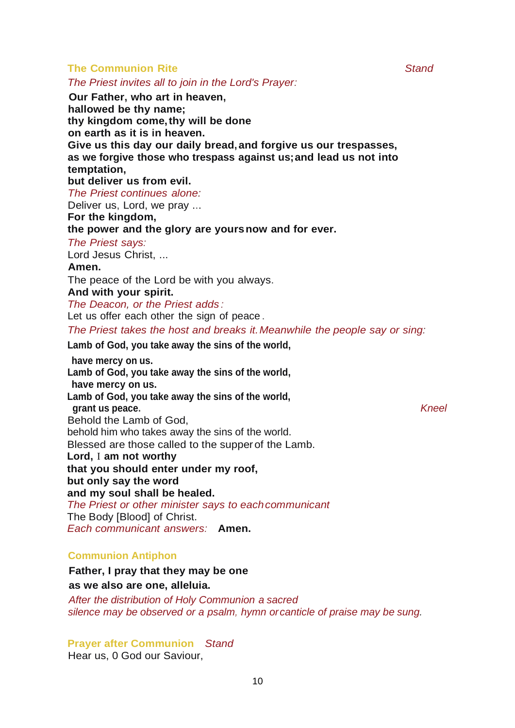# **The Communion Rite** *Stand*

*The Priest invites all to join in the Lord's Prayer:*

**Our Father, who art in heaven, hallowed be thy name; thy kingdom come,thy will be done on earth as it is in heaven. Give us this day our daily bread,and forgive us our trespasses, as we forgive those who trespass against us;and lead us not into temptation, but deliver us from evil.** *The Priest continues alone:* Deliver us, Lord, we pray ... **For the kingdom, the power and the glory are yoursnow and for ever.** *The Priest says:* Lord Jesus Christ, ... **Amen.** The peace of the Lord be with you always. **And with your spirit.** *The Deacon, or the Priest adds :* Let us offer each other the sign of peace . *The Priest takes the host and breaks it.Meanwhile the people say or sing:* **Lamb of God, you take away the sins of the world, have mercy on us. Lamb of God, you take away the sins of the world, have mercy on us. Lamb of God, you take away the sins of the world, grant us peace.** *Kneel* Behold the Lamb of God, behold him who takes away the sins of the world. Blessed are those called to the supperof the Lamb. **Lord,** I **am not worthy that you should enter under my roof, but only say the word and my soul shall be healed.** *The Priest or other minister says to eachcommunicant* The Body [Blood] of Christ. *Each communicant answers:* **Amen. Communion Antiphon Father, I pray that they may be one** 

**as we also are one, alleluia.**

*After the distribution of Holy Communion a sacred silence may be observed or a psalm, hymn orcanticle of praise may be sung.*

**Prayer after Communion** *Stand*

Hear us, 0 God our Saviour,